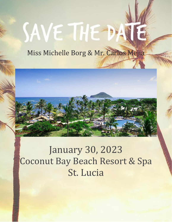# SAVE THE DA

# Miss Michelle Borg & Mr. Carlos Mejia



# January 30, 2023 Coconut Bay Beach Resort & Spa St. Lucia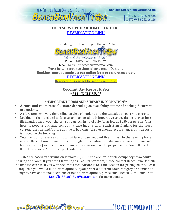

## **TO RESERVE YOUR ROOM CLICK HERE:** [RESERVATION LINK](https://www.vacationcrm.com/IFrameRegistration/Group?lookupid=f04af814-d522-4b01-b822-4cdfa9b048e2&groupid=4cc1cd2f-e6cf-44f8-9675-dfe426429fa0)

\_\_\_\_\_\_\_\_\_\_\_\_\_\_\_\_\_\_\_\_\_\_\_\_\_\_\_\_\_\_\_\_\_\_\_\_\_\_\_\_\_\_\_\_\_\_\_\_\_\_\_\_\_\_\_\_\_\_\_\_\_\_\_\_\_\_\_\_\_\_\_\_\_\_\_\_\_\_\_\_\_\_\_\_\_\_\_\_\_\_\_\_\_\_\_\_\_\_\_\_\_\_\_\_\_\_\_\_\_\_\_\_\_\_\_\_\_\_\_\_\_\_\_

Our wedding travel concierge is Danialle Natale



'Travel the WORLD with US' Phone: 1-877-943-8282 Ext 26 Email: Danialle@beachbumvacation.com **For a faster response time, please email Danialle. Bookings must be made via our online form to ensure accuracy.** 

## [RESERVATION LINK](https://www.vacationcrm.com/IFrameRegistration/Group?lookupid=f04af814-d522-4b01-b822-4cdfa9b048e2&groupid=4cc1cd2f-e6cf-44f8-9675-dfe426429fa0)

**Reservations cannot be made via phone.**

# **Coconut Bay Resort & Spa \*ALL-INCLUSIVE\***

#### **\*\*IMPORTANT ROOM AND AIRFARE INFORMATION\*\***

- **Airfare and room rates fluctuate** depending on availability at time of booking & current promotions.
- Airfare rates will vary depending on time of booking and the stateside airport you choose.
- Locking in the hotel and airfare as soon as possible is imperative to get the best price, best flight and room of your choice. You can lock in hotel only for as low as \$150 per person! This hotel is popular and may sell out. Please inquire with Beach Bum Danialle for the most current rates on land/airfare at time of booking. All rates are subject to change, until deposit is placed on the booking.
- You may opt to reserve your own airfare or use frequent flyer miles. In that event, please advise Beach Bum Danialle of your flight information, so she may arrange for airport transportation (included in accommodations package) at the proper times. You will need to fly to Hewanorra Airport (airport code: UVF).

Rates are based on arriving on January 28, 2023 and are for "double occupancy," two adults sharing one room. If you aren't traveling as 2 adults per room, please contact Beach Bum Danialle so that she can assist you with accurate rates. Airfare is NOT included in the pricing below. Please inquire if you would like airfare options. If you prefer a different room category or number of nights, have additional questions or need airfare options, please email Beach Bum Danialle at [Danialle@BeachBumVacation.com](mailto:Danialle@BeachBumVacation.com) for more details.

"TRAVEL THE WORLD WITH US"

www.BEACHBUMVACATTEN.com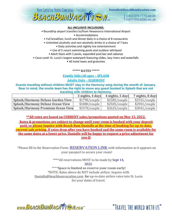

#### **ALL-INCLUSIVE INCLUSIONS:**

• Roundtrip airport transfers to/from Hewanorra International Airport

• Accommodations

- Full breakfast, lunch and dinner daily in a choice of 8 restaurants
- Unlimited alcoholic and non-alcoholic drinks in a choice of 7 bars
	- Daily activities and nightly live entertainment
	- Use of 5 resort swimming pools and outdoor whirlpool
	- Adult Oasis with 2 pools, expanded pool bar and cabanas
- Coco-Land: St. Lucia's largest waterpark featuring slides, lazy rivers and waterfalls

• All hotel taxes and gratuities

#### **\*\*\*\*\* RATES \*\*\*\*\***

#### **Family Side/all ages – SPLASH**

#### **Adults Only – HARMONY**

**Guests traveling without children MUST stay in the Harmony wing during the month of January. Bear in mind, the onsite team has the right to move any guest booked in Splash that are not traveling with children to Harmony.**

|                                          | 3 nights, 4 days | 4 nights, 5 days | 7 nights, 8 days |
|------------------------------------------|------------------|------------------|------------------|
| <b>Splash/Harmony Deluxe Garden View</b> | \$1790/couple    | \$2385/couple    | \$2761/couple    |
| <b>Splash/Harmony Deluxe Ocean View</b>  | \$1880/couple    | \$2505/couple    | \$2901/couple    |
| <b>Splash/Harmony Premium Ocean View</b> | \$1970/couple    | \$2625/couple    | \$3041/couple    |

**\*\*All rates are based on CURRENT sales/promotions quoted on May 13, 2022.**

**Rates & promotions are subject to change until your room is booked with your deposit paid, so please inquire with Beach Bum Danialle at the time of booking for up-to-date, current sale pricing. If rates drop after you have booked and the same room is available for the same dates at a lower price, Danialle will be happy to request a price adjustment for you** ☺

\*Please fill in the Reservation Form: [RESERVATION LINK](https://www.vacationcrm.com/IFrameRegistration/Group?lookupid=f04af814-d522-4b01-b822-4cdfa9b048e2&groupid=4cc1cd2f-e6cf-44f8-9675-dfe426429fa0) with information as it appears on your passport to secure your room!

\*\*\*\*All reservations MUST to be made by Sept 14,

2022.

\*\*\*\***Space is limited so reserve your room early!** \*NOTE: Rates above do NOT include airfare. Inquire with Danialle@beachbumvacation.com for up-to-date airfare rates into St. Lucia for your dates of travel.

www.BEACHBUMVACATTEN.com

"TRAVEL THE WORLD WITH US"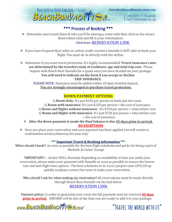

# \*\*\* Process of Booking \*\*\*

❖ Determine your travel dates & who you'll be sharing a room with then click on the secure Reservation Link and fill in your information:

## Click here: [RESERVATION LINK](https://www.vacationcrm.com/IFrameRegistration/Group?lookupid=f04af814-d522-4b01-b822-4cdfa9b048e2&groupid=4cc1cd2f-e6cf-44f8-9675-dfe426429fa0)

- ❖ If you have frequent flyer miles or airline credit vouchers Danialle is NOT able to book your flight. You must do so directly with the airline.
- ❖ Determine if you want travel protection. It's highly recommended! **Travel insurance rates are determined by the travelers state of residence, age and total trip cost.** Please inquire with Beach Bum Danialle for a quote once you have decided on your package. **You will need to indicate on the form if you accept or decline TRIP INSURANCE.**

PLEASE NOTE: Insurance must be added within 10 days of initial deposit. **You are strongly encouraged to purchase travel protection.**

# **DOWN PAYMENT OPTIONS:**

1) **Room Only**: It's just \$150 per person to book just the room. 2) **Room with insurance**: It's just \$150 per person + the cost of insurance 3) **Room and flights without insurance**: It's \$150 per person + total airfare cost. 4) **Room and flights with insurance**: It's just \$150 per person + total airfare cost + the cost of insurance

- ❖ **After the down payment is made the final balance is due 45 days prior to arrival. NO EXCEPTIONS**
- ❖ Once you place your reservation and your payment has been applied you will receive a confirmation invoice/itinerary for your trip!

## **\*\*\* Important Travel & Booking Information \*\*\***

When should I book?: As soon as possible for the best flight schedules and perks for being a part of Michelle & Carlos' Group!

\*IMPORTANT! -- Airfare WILL fluctuate depending on availability at time you make your reservation, please make your payment with Danialle as soon as possible to ensure the lowest rate and best flight time options. The best schedules to St. Lucia (airport code UVF) fill up quickly so please contact her soon to make your reservation.

Who should I ask for when making my reservation? All reservations must be made directly through Beach Bum Danialle via the link below [RESERVATION LINK](https://www.vacationcrm.com/IFrameRegistration/Group?lookupid=f04af814-d522-4b01-b822-4cdfa9b048e2&groupid=4cc1cd2f-e6cf-44f8-9675-dfe426429fa0)

Payment policy: In order to guarantee your room the full payment must be received **45 days prior to arrival**. AIRFARE will be due at the time you are ready to add it to your package.

www.BEACHBUMVACATTERM.com<sup>The C</sup>IRAVEL THE WORLD WITH US"